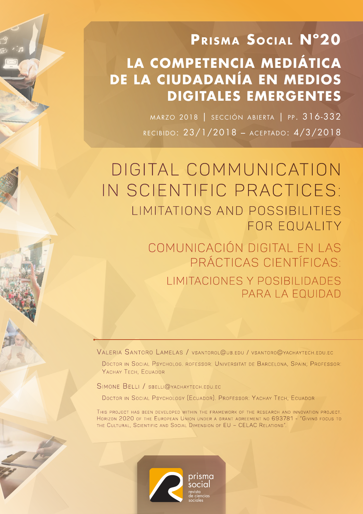# **PRISMA SOCIAL N°20 LA COMPETENCIA MEDIÁTICA DE LA CIUDADANÍA EN MEDIOS DIGITALES EMERGENTES**

MARZO 2018 | SECCIÓN ABIERTA | PP. 316-332 recibido: 23/1/2018 – aceptado: 4/3/2018

DIGITAL COMMUNICATION IN SCIENTIFIC PRACTICES: LIMITATIONS AND POSSIBILITIES FOR EQUALITY

> Comunicación digital en las prácticas científicas: Limitaciones y posibilidades para la equidad

VALERIA SANTORO LAMELAS / VSANTOROL@UB.EDU / VSANTORO@YACHAYTECH.EDU.EC

DOCTOR IN SOCIAL PSYCHOLOG. ROFESSOR: UNIVERSITAT DE BARCELONA, SPAIN; PROFESSOR: YACHAY TECH, ECUADOR

SIMONE BELLI / SBELLI@YACHAYTECH.EDU.EC

DOCTOR IN SOCIAL PSYCHOLOGY (ECUADOR). PROFESSOR: YACHAY TECH, ECUADOR

THIS PROJECT HAS BEEN DEVELOPED WITHIN THE FRAMEWORK OF THE RESEARCH AND INNOVATION PROJECT. HORIZON 2020 OF THE EUROPEAN UNION UNDER A GRANT AGREEMENT NO 693781 - "GIVING FOCUS TO THE CULTURAL, SCIENTIFIC AND SOCIAL DIMENSION OF EU – CELAC RELATIONS"

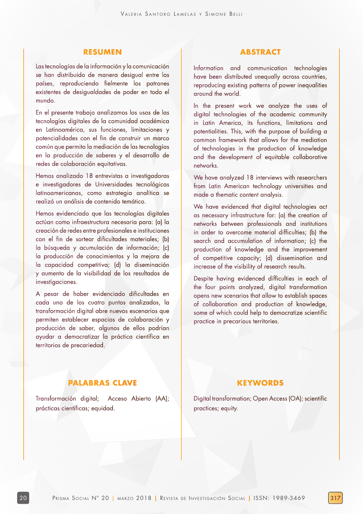## **RESUMEN**

Las tecnologías de la información y la comunicación se han distribuido de manera desigual entre los países, reproduciendo fielmente los patrones existentes de desigualdades de poder en todo el mundo.

En el presente trabajo analizamos los usos de las tecnologías digitales de la comunidad académica en Latinoamérica, sus funciones, limitaciones y potencialidades con el fin de construir un marco común que permita la mediación de las tecnologías en la producción de saberes y el desarrollo de redes de colaboración equitativas.

Hemos analizado 18 entrevistas a investigadoras e investigadores de Universidades tecnológicas latinoamericanas, como estrategia analítica se realizó un análisis de contenido temático.

Hemos evidenciado que las tecnologías digitales actúan como infraestructura necesaria para: (a) la creación de redes entre profesionales e instituciones con el fin de sortear dificultades materiales; (b) la búsqueda y acumulación de información; (c) la producción de conocimientos y la mejora de la capacidad competitiva; (d) la diseminación y aumento de la visibilidad de los resultados de investigaciones.

A pesar de haber evidenciado dificultades en cada uno de los cuatro puntos analizados, la transformación digital abre nuevos escenarios que permiten establecer espacios de colaboración y producción de saber, algunos de ellos podrían ayudar a democratizar la práctica científica en territorios de precariedad.

## **ABSTRACT**

Information and communication technologies have been distributed unequally across countries, reproducing existing patterns of power inequalities around the world.

In the present work we analyze the uses of digital technologies of the academic community in Latin America, its functions, limitations and potentialities. This, with the purpose of building a common framework that allows for the mediation of technologies in the production of knowledge and the development of equitable collaborative networks.

We have analyzed 18 interviews with researchers from Latin American technology universities and made a thematic content analysis.

We have evidenced that digital technologies act as necessary infrastructure for: (a) the creation of networks between professionals and institutions in order to overcome material difficulties; (b) the search and accumulation of information; (c) the production of knowledge and the improvement of competitive capacity; (d) dissemination and increase of the visibility of research results.

Despite having evidenced difficulties in each of the four points analyzed, digital transformation opens new scenarios that allow to establish spaces of collaboration and production of knowledge, some of which could help to democratize scientific practice in precarious territories.

## **PALABRAS CLAVE**

Transformación digital; Acceso Abierto (AA); prácticas científicas; equidad.

## **KEYWORDS**

Digital transformation; Open Access (OA); scientific practices; equity.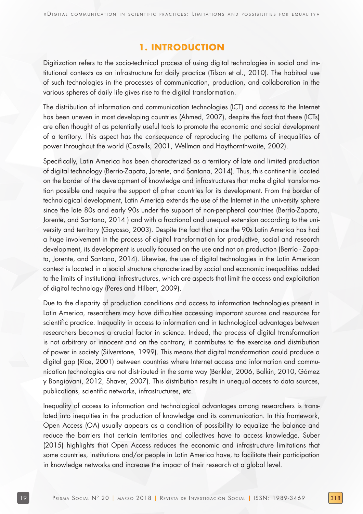# **1. INTRODUCTION**

Digitization refers to the socio-technical process of using digital technologies in social and institutional contexts as an infrastructure for daily practice (Tilson et al., 2010). The habitual use of such technologies in the processes of communication, production, and collaboration in the various spheres of daily life gives rise to the digital transformation.

The distribution of information and communication technologies (ICT) and access to the Internet has been uneven in most developing countries (Ahmed, 2007), despite the fact that these (ICTs) are often thought of as potentially useful tools to promote the economic and social development of a territory. This aspect has the consequence of reproducing the patterns of inequalities of power throughout the world (Castells, 2001, Wellman and Haythornthwaite, 2002).

Specifically, Latin America has been characterized as a territory of late and limited production of digital technology (Berrío-Zapata, Jorente, and Santana, 2014). Thus, this continent is located on the border of the development of knowledge and infrastructures that make digital transformation possible and require the support of other countries for its development. From the border of technological development, Latin America extends the use of the Internet in the university sphere since the late 80s and early 90s under the support of non-peripheral countries (Berrío-Zapata, Jorente, and Santana, 2014 ) and with a fractional and unequal extension according to the university and territory (Gayosso, 2003). Despite the fact that since the 90s Latin America has had a huge involvement in the process of digital transformation for productive, social and research development, its development is usually focused on the use and not on production (Berrío - Zapata, Jorente, and Santana, 2014). Likewise, the use of digital technologies in the Latin American context is located in a social structure characterized by social and economic inequalities added to the limits of institutional infrastructures, which are aspects that limit the access and exploitation of digital technology (Peres and Hilbert, 2009).

Due to the disparity of production conditions and access to information technologies present in Latin America, researchers may have difficulties accessing important sources and resources for scientific practice. Inequality in access to information and in technological advantages between researchers becomes a crucial factor in science. Indeed, the process of digital transformation is not arbitrary or innocent and on the contrary, it contributes to the exercise and distribution of power in society (Silverstone, 1999). This means that digital transformation could produce a digital gap (Rice, 2001) between countries where Internet access and information and communication technologies are not distributed in the same way (Benkler, 2006, Balkin, 2010, Gómez y Bongiovani, 2012, Shaver, 2007). This distribution results in unequal access to data sources, publications, scientific networks, infrastructures, etc.

Inequality of access to information and technological advantages among researchers is translated into inequities in the production of knowledge and its communication. In this framework, Open Access (OA) usually appears as a condition of possibility to equalize the balance and reduce the barriers that certain territories and collectives have to access knowledge. Suber (2015) highlights that Open Access reduces the economic and infrastructure limitations that some countries, institutions and/or people in Latin America have, to facilitate their participation in knowledge networks and increase the impact of their research at a global level.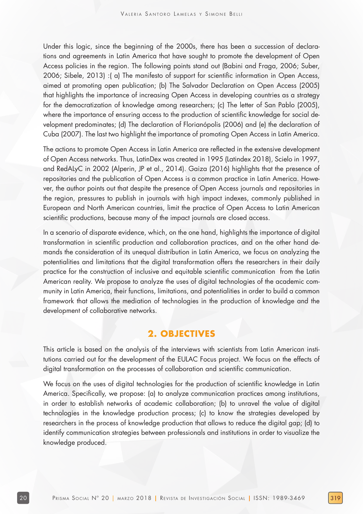Under this logic, since the beginning of the 2000s, there has been a succession of declarations and agreements in Latin America that have sought to promote the development of Open Access policies in the region. The following points stand out (Babini and Fraga, 2006; Suber, 2006; Sibele, 2013) :( a) The manifesto of support for scientific information in Open Access, aimed at promoting open publication; (b) The Salvador Declaration on Open Access (2005) that highlights the importance of increasing Open Access in developing countries as a strategy for the democratization of knowledge among researchers; (c) The letter of San Pablo (2005), where the importance of ensuring access to the production of scientific knowledge for social development predominates; (d) The declaration of Florianópolis (2006) and (e) the declaration of Cuba (2007). The last two highlight the importance of promoting Open Access in Latin America.

The actions to promote Open Access in Latin America are reflected in the extensive development of Open Access networks. Thus, LatinDex was created in 1995 (Latindex 2018), Scielo in 1997, and RedALyC in 2002 (Alperin, JP et al., 2014). Gaiza (2016) highlights that the presence of repositories and the publication of Open Access is a common practice in Latin America. However, the author points out that despite the presence of Open Access journals and repositories in the region, pressures to publish in journals with high impact indexes, commonly published in European and North American countries, limit the practice of Open Access to Latin American scientific productions, because many of the impact journals are closed access.

In a scenario of disparate evidence, which, on the one hand, highlights the importance of digital transformation in scientific production and collaboration practices, and on the other hand demands the consideration of its unequal distribution in Latin America, we focus on analyzing the potentialities and limitations that the digital transformation offers the researchers in their daily practice for the construction of inclusive and equitable scientific communication from the Latin American reality. We propose to analyze the uses of digital technologies of the academic community in Latin America, their functions, limitations, and potentialities in order to build a common framework that allows the mediation of technologies in the production of knowledge and the development of collaborative networks.

# **2. OBJECTIVES**

This article is based on the analysis of the interviews with scientists from Latin American institutions carried out for the development of the EULAC Focus project. We focus on the effects of digital transformation on the processes of collaboration and scientific communication.

We focus on the uses of digital technologies for the production of scientific knowledge in Latin America. Specifically, we propose: (a) to analyze communication practices among institutions, in order to establish networks of academic collaboration; (b) to unravel the value of digital technologies in the knowledge production process; (c) to know the strategies developed by researchers in the process of knowledge production that allows to reduce the digital gap; (d) to identify communication strategies between professionals and institutions in order to visualize the knowledge produced.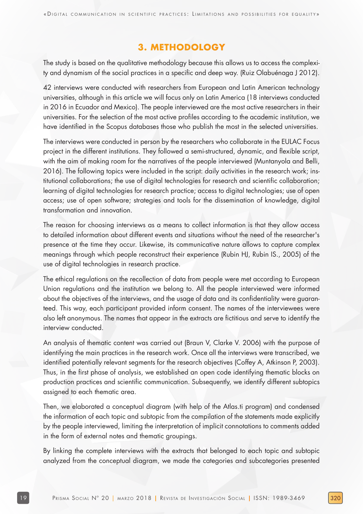# **3. METHODOLOGY**

The study is based on the qualitative methodology because this allows us to access the complexity and dynamism of the social practices in a specific and deep way. (Ruiz Olabuénaga J 2012).

42 interviews were conducted with researchers from European and Latin American technology universities, although in this article we will focus only on Latin America (18 interviews conducted in 2016 in Ecuador and Mexico). The people interviewed are the most active researchers in their universities. For the selection of the most active profiles according to the academic institution, we have identified in the Scopus databases those who publish the most in the selected universities.

The interviews were conducted in person by the researchers who collaborate in the EULAC Focus project in the different institutions. They followed a semi-structured, dynamic, and flexible script, with the aim of making room for the narratives of the people interviewed (Muntanyola and Belli, 2016). The following topics were included in the script: daily activities in the research work; institutional collaborations; the use of digital technologies for research and scientific collaboration; learning of digital technologies for research practice; access to digital technologies; use of open access; use of open software; strategies and tools for the dissemination of knowledge, digital transformation and innovation.

The reason for choosing interviews as a means to collect information is that they allow access to detailed information about different events and situations without the need of the researcher's presence at the time they occur. Likewise, its communicative nature allows to capture complex meanings through which people reconstruct their experience (Rubin HJ, Rubin IS., 2005) of the use of digital technologies in research practice.

The ethical regulations on the recollection of data from people were met according to European Union regulations and the institution we belong to. All the people interviewed were informed about the objectives of the interviews, and the usage of data and its confidentiality were guaranteed. This way, each participant provided inform consent. The names of the interviewees were also left anonymous. The names that appear in the extracts are fictitious and serve to identify the interview conducted.

An analysis of thematic content was carried out (Braun V, Clarke V. 2006) with the purpose of identifying the main practices in the research work. Once all the interviews were transcribed, we identified potentially relevant segments for the research objectives (Coffey A, Atkinson P, 2003). Thus, in the first phase of analysis, we established an open code identifying thematic blocks on production practices and scientific communication. Subsequently, we identify different subtopics assigned to each thematic area.

Then, we elaborated a conceptual diagram (with help of the Atlas.ti program) and condensed the information of each topic and subtopic from the compilation of the statements made explicitly by the people interviewed, limiting the interpretation of implicit connotations to comments added in the form of external notes and thematic groupings.

By linking the complete interviews with the extracts that belonged to each topic and subtopic analyzed from the conceptual diagram, we made the categories and subcategories presented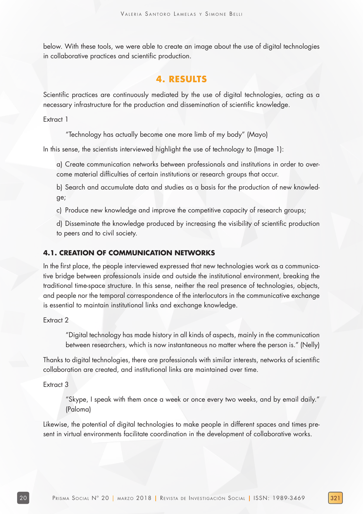below. With these tools, we were able to create an image about the use of digital technologies in collaborative practices and scientific production.

# **4. RESULTS**

Scientific practices are continuously mediated by the use of digital technologies, acting as a necessary infrastructure for the production and dissemination of scientific knowledge.

Extract 1

"Technology has actually become one more limb of my body" (Mayo)

In this sense, the scientists interviewed highlight the use of technology to (Image 1):

a) Create communication networks between professionals and institutions in order to overcome material difficulties of certain institutions or research groups that occur.

b) Search and accumulate data and studies as a basis for the production of new knowledge;

c) Produce new knowledge and improve the competitive capacity of research groups;

d) Disseminate the knowledge produced by increasing the visibility of scientific production to peers and to civil society.

## **4.1. CREATION OF COMMUNICATION NETWORKS**

In the first place, the people interviewed expressed that new technologies work as a communicative bridge between professionals inside and outside the institutional environment, breaking the traditional time-space structure. In this sense, neither the real presence of technologies, objects, and people nor the temporal correspondence of the interlocutors in the communicative exchange is essential to maintain institutional links and exchange knowledge.

Extract 2

"Digital technology has made history in all kinds of aspects, mainly in the communication between researchers, which is now instantaneous no matter where the person is." (Nelly)

Thanks to digital technologies, there are professionals with similar interests, networks of scientific collaboration are created, and institutional links are maintained over time.

Extract 3

"Skype, I speak with them once a week or once every two weeks, and by email daily." (Paloma)

Likewise, the potential of digital technologies to make people in different spaces and times present in virtual environments facilitate coordination in the development of collaborative works.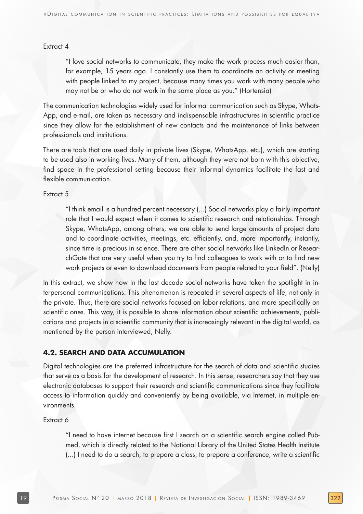#### Extract 4

"I love social networks to communicate, they make the work process much easier than, for example, 15 years ago. I constantly use them to coordinate an activity or meeting with people linked to my project, because many times you work with many people who may not be or who do not work in the same place as you." (Hortensia)

The communication technologies widely used for informal communication such as Skype, Whats-App, and e-mail, are taken as necessary and indispensable infrastructures in scientific practice since they allow for the establishment of new contacts and the maintenance of links between professionals and institutions.

There are tools that are used daily in private lives (Skype, WhatsApp, etc.), which are starting to be used also in working lives. Many of them, although they were not born with this objective, find space in the professional setting because their informal dynamics facilitate the fast and flexible communication.

Extract 5

"I think email is a hundred percent necessary (...) Social networks play a fairly important role that I would expect when it comes to scientific research and relationships. Through Skype, WhatsApp, among others, we are able to send large amounts of project data and to coordinate activities, meetings, etc. efficiently, and, more importantly, instantly, since time is precious in science. There are other social networks like LinkedIn or ResearchGate that are very useful when you try to find colleagues to work with or to find new work projects or even to download documents from people related to your field". (Nelly)

In this extract, we show how in the last decade social networks have taken the spotlight in interpersonal communications. This phenomenon is repeated in several aspects of life, not only in the private. Thus, there are social networks focused on labor relations, and more specifically on scientific ones. This way, it is possible to share information about scientific achievements, publications and projects in a scientific community that is increasingly relevant in the digital world, as mentioned by the person interviewed, Nelly.

## **4.2. SEARCH AND DATA ACCUMULATION**

Digital technologies are the preferred infrastructure for the search of data and scientific studies that serve as a basis for the development of research. In this sense, researchers say that they use electronic databases to support their research and scientific communications since they facilitate access to information quickly and conveniently by being available, via Internet, in multiple environments.

Extract 6

"I need to have internet because first I search on a scientific search engine called Pubmed, which is directly related to the National Library of the United States Health Institute (...) I need to do a search, to prepare a class, to prepare a conference, write a scientific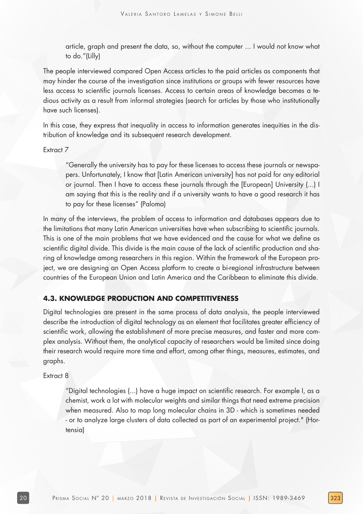article, graph and present the data, so, without the computer ... I would not know what to do."(Lilly)

The people interviewed compared Open Access articles to the paid articles as components that may hinder the course of the investigation since institutions or groups with fewer resources have less access to scientific journals licenses. Access to certain areas of knowledge becomes a tedious activity as a result from informal strategies (search for articles by those who institutionally have such licenses).

In this case, they express that inequality in access to information generates inequities in the distribution of knowledge and its subsequent research development.

#### Extract 7

"Generally the university has to pay for these licenses to access these journals or newspapers. Unfortunately, I know that [Latin American university] has not paid for any editorial or journal. Then I have to access these journals through the [European] University (...) I am saying that this is the reality and if a university wants to have a good research it has to pay for these licenses" (Paloma)

In many of the interviews, the problem of access to information and databases appears due to the limitations that many Latin American universities have when subscribing to scientific journals. This is one of the main problems that we have evidenced and the cause for what we define as scientific digital divide. This divide is the main cause of the lack of scientific production and sharing of knowledge among researchers in this region. Within the framework of the European project, we are designing an Open Access platform to create a bi-regional infrastructure between countries of the European Union and Latin America and the Caribbean to eliminate this divide.

## **4.3. KNOWLEDGE PRODUCTION AND COMPETITIVENESS**

Digital technologies are present in the same process of data analysis, the people interviewed describe the introduction of digital technology as an element that facilitates greater efficiency of scientific work, allowing the establishment of more precise measures, and faster and more complex analysis. Without them, the analytical capacity of researchers would be limited since doing their research would require more time and effort, among other things, measures, estimates, and graphs.

#### Extract 8

"Digital technologies (...) have a huge impact on scientific research. For example I, as a chemist, work a lot with molecular weights and similar things that need extreme precision when measured. Also to map long molecular chains in 3D - which is sometimes needed - or to analyze large clusters of data collected as part of an experimental project." (Hortensia)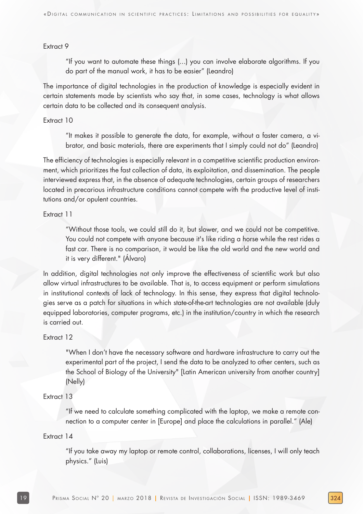#### Extract 9

"If you want to automate these things (...) you can involve elaborate algorithms. If you do part of the manual work, it has to be easier" (Leandro)

The importance of digital technologies in the production of knowledge is especially evident in certain statements made by scientists who say that, in some cases, technology is what allows certain data to be collected and its consequent analysis.

#### Extract 10

"It makes it possible to generate the data, for example, without a faster camera, a vibrator, and basic materials, there are experiments that I simply could not do" (Leandro)

The efficiency of technologies is especially relevant in a competitive scientific production environment, which prioritizes the fast collection of data, its exploitation, and dissemination. The people interviewed express that, in the absence of adequate technologies, certain groups of researchers located in precarious infrastructure conditions cannot compete with the productive level of institutions and/or opulent countries.

#### Extract 11

"Without those tools, we could still do it, but slower, and we could not be competitive. You could not compete with anyone because it's like riding a horse while the rest rides a fast car. There is no comparison, it would be like the old world and the new world and it is very different." (Álvaro)

In addition, digital technologies not only improve the effectiveness of scientific work but also allow virtual infrastructures to be available. That is, to access equipment or perform simulations in institutional contexts of lack of technology. In this sense, they express that digital technologies serve as a patch for situations in which state-of-the-art technologies are not available (duly equipped laboratories, computer programs, etc.) in the institution/country in which the research is carried out.

#### Extract 12

"When I don't have the necessary software and hardware infrastructure to carry out the experimental part of the project, I send the data to be analyzed to other centers, such as the School of Biology of the University" [Latin American university from another country] (Nelly)

#### Extract 13

"If we need to calculate something complicated with the laptop, we make a remote connection to a computer center in [Europe] and place the calculations in parallel." (Ale)

#### Extract 14

"If you take away my laptop or remote control, collaborations, licenses, I will only teach physics." (Luis)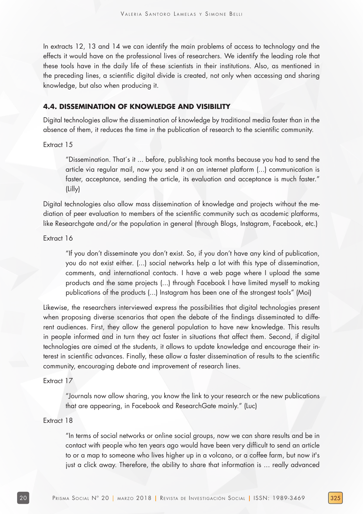In extracts 12, 13 and 14 we can identify the main problems of access to technology and the effects it would have on the professional lives of researchers. We identify the leading role that these tools have in the daily life of these scientists in their institutions. Also, as mentioned in the preceding lines, a scientific digital divide is created, not only when accessing and sharing knowledge, but also when producing it.

## **4.4. DISSEMINATION OF KNOWLEDGE AND VISIBILITY**

Digital technologies allow the dissemination of knowledge by traditional media faster than in the absence of them, it reduces the time in the publication of research to the scientific community.

Extract 15

"Dissemination. That´s it ... before, publishing took months because you had to send the article via regular mail, now you send it on an internet platform (...) communication is faster, acceptance, sending the article, its evaluation and acceptance is much faster." (Lilly)

Digital technologies also allow mass dissemination of knowledge and projects without the mediation of peer evaluation to members of the scientific community such as academic platforms, like Researchgate and/or the population in general (through Blogs, Instagram, Facebook, etc.)

#### Extract 16

"If you don't disseminate you don't exist. So, if you don't have any kind of publication, you do not exist either. (...) social networks help a lot with this type of dissemination, comments, and international contacts. I have a web page where I upload the same products and the same projects (...) through Facebook I have limited myself to making publications of the products (...) Instagram has been one of the strongest tools" (Moi)

Likewise, the researchers interviewed express the possibilities that digital technologies present when proposing diverse scenarios that open the debate of the findings disseminated to different audiences. First, they allow the general population to have new knowledge. This results in people informed and in turn they act faster in situations that affect them. Second, if digital technologies are aimed at the students, it allows to update knowledge and encourage their interest in scientific advances. Finally, these allow a faster dissemination of results to the scientific community, encouraging debate and improvement of research lines.

#### Extract 17

"Journals now allow sharing, you know the link to your research or the new publications that are appearing, in Facebook and ResearchGate mainly." (Luc)

#### Extract 18

"In terms of social networks or online social groups, now we can share results and be in contact with people who ten years ago would have been very difficult to send an article to or a map to someone who lives higher up in a volcano, or a coffee farm, but now it's just a click away. Therefore, the ability to share that information is ... really advanced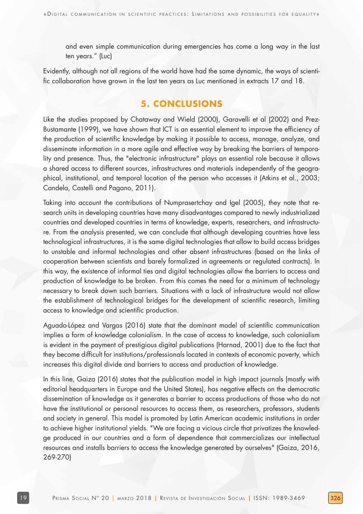and even simple communication during emergencies has come a long way in the last ten years." (Luc)

Evidently, although not all regions of the world have had the same dynamic, the ways of scientific collaboration have grown in the last ten years as Luc mentioned in extracts 17 and 18.

# **5. CONCLUSIONS**

Like the studies proposed by Chataway and Wield (2000), Garavelli et al (2002) and Prez-Bustamante (1999), we have shown that ICT is an essential element to improve the efficiency of the production of scientific knowledge by making it possible to access, manage, analyze, and disseminate information in a more agile and effective way by breaking the barriers of temporality and presence. Thus, the "electronic infrastructure" plays an essential role because it allows a shared access to different sources, infrastructures and materials independently of the geographical, institutional, and temporal location of the person who accesses it (Atkins et al., 2003; Candela, Castelli and Pagano, 2011).

Taking into account the contributions of Numprasertchay and Igel (2005), they note that research units in developing countries have many disadvantages compared to newly industrialized countries and developed countries in terms of knowledge, experts, researchers, and infrastructure. From the analysis presented, we can conclude that although developing countries have less technological infrastructures, it is the same digital technologies that allow to build access bridges to unstable and informal technologies and other absent infrastructures (based on the links of cooperation between scientists and barely formalized in agreements or regulated contracts). In this way, the existence of informal ties and digital technologies allow the barriers to access and production of knowledge to be broken. From this comes the need for a minimum of technology necessary to break down such barriers. Situations with a lack of infrastructure would not allow the establishment of technological bridges for the development of scientific research, limiting access to knowledge and scientific production.

Aguado-López and Vargas (2016) state that the dominant model of scientific communication implies a form of knowledge colonialism. In the case of access to knowledge, such colonialism is evident in the payment of prestigious digital publications (Harnad, 2001) due to the fact that they become difficult for institutions/professionals located in contexts of economic poverty, which increases this digital divide and barriers to access and production of knowledge.

In this line, Gaiza (2016) states that the publication model in high impact journals (mostly with editorial headquarters in Europe and the United States), has negative effects on the democratic dissemination of knowledge as it generates a barrier to access productions of those who do not have the institutional or personal resources to access them, as researchers, professors, students and society in general. This model is promoted by Latin American academic institutions in order to achieve higher institutional yields. "We are facing a vicious circle that privatizes the knowledge produced in our countries and a form of dependence that commercializes our intellectual resources and installs barriers to access the knowledge generated by ourselves" (Gaiza, 2016, 269-270)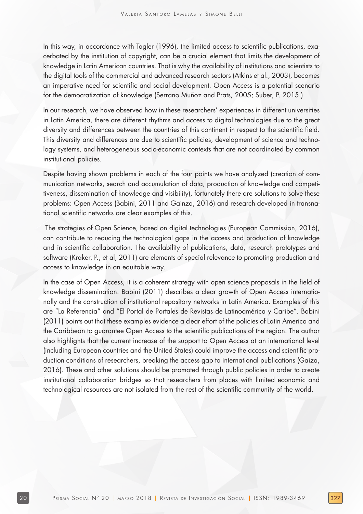In this way, in accordance with Tagler (1996), the limited access to scientific publications, exacerbated by the institution of copyright, can be a crucial element that limits the development of knowledge in Latin American countries. That is why the availability of institutions and scientists to the digital tools of the commercial and advanced research sectors (Atkins et al., 2003), becomes an imperative need for scientific and social development. Open Access is a potential scenario for the democratization of knowledge (Serrano Muñoz and Prats, 2005; Suber, P. 2015.)

In our research, we have observed how in these researchers' experiences in different universities in Latin America, there are different rhythms and access to digital technologies due to the great diversity and differences between the countries of this continent in respect to the scientific field. This diversity and differences are due to scientific policies, development of science and technology systems, and heterogeneous socio-economic contexts that are not coordinated by common institutional policies.

Despite having shown problems in each of the four points we have analyzed (creation of communication networks, search and accumulation of data, production of knowledge and competitiveness, dissemination of knowledge and visibility), fortunately there are solutions to solve these problems: Open Access (Babini, 2011 and Gainza, 2016) and research developed in transnational scientific networks are clear examples of this.

 The strategies of Open Science, based on digital technologies (European Commission, 2016), can contribute to reducing the technological gaps in the access and production of knowledge and in scientific collaboration. The availability of publications, data, research prototypes and software (Kraker, P., et al, 2011) are elements of special relevance to promoting production and access to knowledge in an equitable way.

In the case of Open Access, it is a coherent strategy with open science proposals in the field of knowledge dissemination. Babini (2011) describes a clear growth of Open Access internationally and the construction of institutional repository networks in Latin America. Examples of this are "La Referencia" and "El Portal de Portales de Revistas de Latinoamérica y Caribe". Babini (2011) points out that these examples evidence a clear effort of the policies of Latin America and the Caribbean to guarantee Open Access to the scientific publications of the region. The author also highlights that the current increase of the support to Open Access at an international level (including European countries and the United States) could improve the access and scientific production conditions of researchers, breaking the access gap to international publications (Gaiza, 2016). These and other solutions should be promoted through public policies in order to create institutional collaboration bridges so that researchers from places with limited economic and technological resources are not isolated from the rest of the scientific community of the world.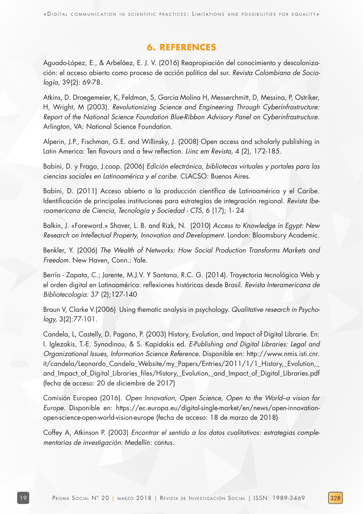# **6. REFERENCES**

Aguado-López, E., & Arbeláez, E. J. V. (2016) Reapropiación del conocimiento y descolonización: el acceso abierto como proceso de acción política del sur. Revista Colombiana de Sociología, 39(2): 69-78.

Atkins, D. Droegemeier, K, Feldman, S, Garcia Molina H, Messerchmitt, D, Messina, P, Ostriker, H, Wright, M (2003). Revolutionizing Science and Engineering Through Cyberinfrastructure: Report of the National Science Foundation Blue-Ribbon Advisory Panel on Cyberinfrastructure. Arlington, VA: National Science Foundation.

Alperin, J.P., Fischman, G.E. and Willinsky, J. (2008) Open access and scholarly publishing in Latin America: Ten flavours and a few reflection. Liinc em Revista, 4 (2), 172-185.

Babini, D. y Fraga, J.coop. (2006) Edición electrónica, bibliotecas virtuales y portales para las ciencias sociales en Latinoamérica y el caribe. CLACSO: Buenos Aires.

Babini, D. (2011) Acceso abierto a la producción científica de Latinoamérica y el Caribe. Identificación de principales instituciones para estrategias de integración regional. Revista Iberoamericana de Ciencia, Tecnología y Sociedad - CTS, 6 (17); 1- 24

Balkin, J. «Foreword.» Shaver, L. B. and Rizk, N. (2010) Access to Knowledge in Egypt: New Research on Intellectual Property, Innovation and Development. London: Bloomsbury Academic.

Benkler, Y. (2006) The Wealth of Networks: How Social Production Transforms Markets and Freedom. New Haven, Conn.: Yale.

Berrío - Zapata, C.; Jorente, M.J.V. Y Santana, R.C. G. (2014). Trayectoria tecnológica Web y el orden digital en Latinoamérica: reflexiones históricas desde Brasil. Revista Interamericana de Bibliotecología: 37 (2);127-140

Braun V, Clarke V.(2006) Using thematic analysis in psychology. Qualitative research in Psychology, 3(2):77-101.

Candela, L, Castelly, D. Pagano, P. (2003) History, Evolution, and Impact of Digital Librarie. En: I. Iglezakis, T.-E. Synodinou, & S. Kapidakis ed. E-Publishing and Digital Libraries: Legal and Organizational Issues, Information Science Reference. Disponible en: http://www.nmis.isti.cnr. it/candela/Leonardo\_Candela\_Website/my\_Papers/Entries/2011/1/1\_History,\_Evolution,\_ and\_Impact\_of\_Digital\_Libraries\_files/History,\_Evolution,\_and\_Impact\_of\_Digital\_Libraries.pdf (fecha de acceso: 20 de diciembre de 2017)

Comisión Europea (2016). Open Innovation, Open Science, Open to the World–a vision for Europe. Disponible en: https://ec.europa.eu/digital-single-market/en/news/open-innovationopen-science-open-world-vision-europe (fecha de acceso: 18 de marzo de 2018)

Coffey A, Atkinson P. (2003) Encontrar el sentido a los datos cualitativos: estrategias complementarias de investigación. Medellín: contus.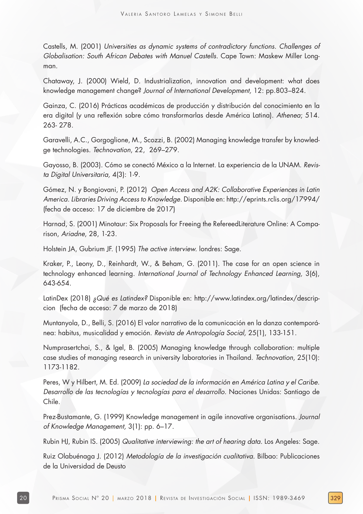Castells, M. (2001) Universities as dynamic systems of contradictory functions. Challenges of Globalisation: South African Debates with Manuel Castells. Cape Town: Maskew Miller Longman.

Chataway, J. (2000) Wield, D. Industrialization, innovation and development: what does knowledge management change? Journal of International Development, 12: pp.803–824.

Gainza, C. (2016) Prácticas académicas de producción y distribución del conocimiento en la era digital (y una reflexión sobre cómo transformarlas desde América Latina). Athenea; 514. 263- 278.

Garavelli, A.C., Gorgoglione, M., Scozzi, B. (2002) Managing knowledge transfer by knowledge technologies. Technovation, 22, 269–279.

Gayosso, B. (2003). Cómo se conectó México a la Internet. La experiencia de la UNAM. Revista Digital Universitaria, 4(3): 1-9.

Gómez, N. y Bongiovani, P. (2012) Open Access and A2K: Collaborative Experiences in Latin America. Libraries Driving Access to Knowledge. Disponible en: http://eprints.rclis.org/17994/ (fecha de acceso: 17 de diciembre de 2017)

Harnad, S. (2001) Minotaur: Six Proposals for Freeing the RefereedLiterature Online: A Comparison, Ariadne, 28, 1-23.

Holstein JA, Gubrium JF. (1995) The active interview. londres: Sage.

Kraker, P., Leony, D., Reinhardt, W., & Beham, G. (2011). The case for an open science in technology enhanced learning. International Journal of Technology Enhanced Learning, 3(6), 643-654.

LatinDex (2018) ¿Qué es Latindex? Disponible en: http://www.latindex.org/latindex/descripcion (fecha de acceso: 7 de marzo de 2018)

Muntanyola, D., Belli, S. (2016) El valor narrativo de la comunicación en la danza contemporánea: habitus, musicalidad y emoción. Revista de Antropología Social, 25(1), 133-151.

Numprasertchai, S., & Igel, B. (2005) Managing knowledge through collaboration: multiple case studies of managing research in university laboratories in Thailand. Technovation, 25(10): 1173-1182.

Peres, W y Hilbert, M. Ed. (2009) La sociedad de la información en América Latina y el Caribe. Desarrollo de las tecnologías y tecnologías para el desarrollo. Naciones Unidas: Santiago de Chile.

Prez-Bustamante, G. (1999) Knowledge management in agile innovative organisations. Journal of Knowledge Management, 3(1): pp. 6–17.

Rubin HJ, Rubin IS. (2005) Qualitative interviewing: the art of hearing data. Los Angeles: Sage.

Ruiz Olabuénaga J. (2012) Metodología de la investigación cualitativa. Bilbao: Publicaciones de la Universidad de Deusto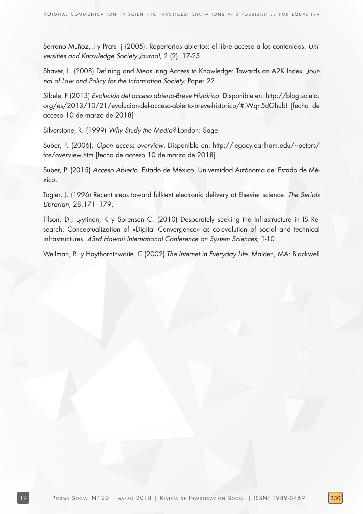Serrano Muñoz, J y Prats j (2005). Repertorios abiertos: el libre acceso a los contenidos. Universities and Knowledge Society Journal, 2 (2), 17-25

Shaver, L. (2008) Defining and Measuring Access to Knowledge: Towards an A2K Index. Journal of Law and Policy for the Information Society. Paper 22.

Sibele, F (2013) Evolución del acceso abierto-Breve Histórico. Disponible en: http://blog.scielo. org/es/2013/10/21/evolucion-del-acceso-abierto-breve-historico/#.Wqn5dOhubI [fecha de acceso 10 de marzo de 2018]

Silverstone, R. (1999) Why Study the Media? London: Sage.

Suber, P. (2006). Open access overview. Disponible en: http://legacy.earlham.edu/~peters/ fos/overview.htm [fecha de acceso 10 de marzo de 2018]

Suber, P. (2015) Acceso Abierto. Estado de México: Universidad Autónoma del Estado de México.

Tagler, J. (1996) Recent steps toward full-text electronic delivery at Elsevier science. The Serials Librarian, 28,171–179.

Tilson, D.; Lyytinen, K y Sorensen C. (2010) Desperately seeking the Infrastructure in IS Research: Conceptualization of «Digital Convergence» as co-evolution of social and technical infrastructures. 43rd Hawaii International Conference on System Sciences, 1-10

Wellman, B. y Haythornthwaite. C (2002) The Internet in Everyday Life. Malden, MA: Blackwell